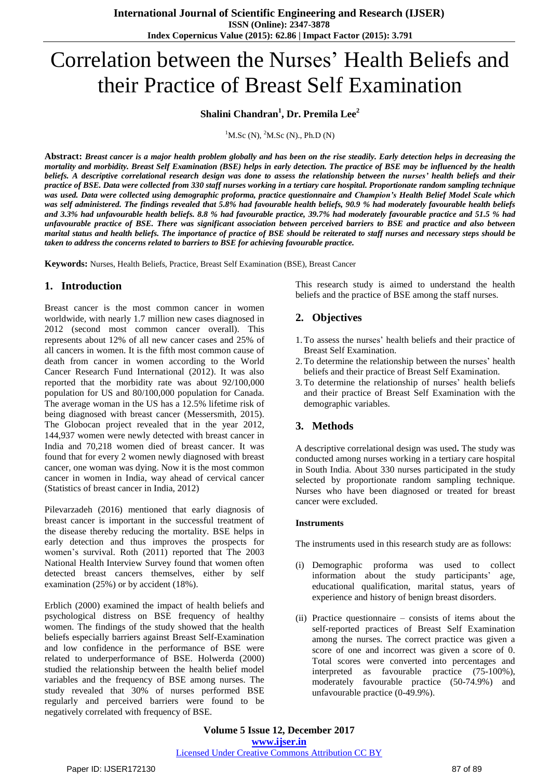# Correlation between the Nurses' Health Beliefs and their Practice of Breast Self Examination

## **Shalini Chandran<sup>1</sup> , Dr. Premila Lee<sup>2</sup>**

 ${}^{1}$ M.Sc (N),  ${}^{2}$ M.Sc (N)., Ph.D (N)

Abstract: Breast cancer is a major health problem globally and has been on the rise steadily. Early detection helps in decreasing the mortality and morbidity. Breast Self Examination (BSE) helps in early detection. The practice of BSE may be influenced by the health beliefs. A descriptive correlational research design was done to assess the relationship between the nurses' health beliefs and their practice of BSE. Data were collected from 330 staff nurses working in a tertiary care hospital. Proportionate random sampling technique was used. Data were collected using demographic proforma, practice questionnaire and Champion's Health Belief Model Scale which was self administered. The findings revealed that 5.8% had favourable health beliefs, 90.9 % had moderately favourable health beliefs and 3.3% had unfavourable health beliefs. 8.8 % had favourable practice, 39.7% had moderately favourable practice and 51.5 % had unfavourable practice of BSE. There was significant association between perceived barriers to BSE and practice and also between marital status and health beliefs. The importance of practice of BSE should be reiterated to staff nurses and necessary steps should be *taken to address the concerns related to barriers to BSE for achieving favourable practice.*

**Keywords:** Nurses, Health Beliefs, Practice, Breast Self Examination (BSE), Breast Cancer

## **1. Introduction**

Breast cancer is the most common cancer in women worldwide, with nearly 1.7 million new cases diagnosed in 2012 (second most common cancer overall). This represents about 12% of all new cancer cases and 25% of all cancers in women. It is the fifth most common cause of death from cancer in women according to the World Cancer Research Fund International (2012). It was also reported that the morbidity rate was about 92/100,000 population for US and 80/100,000 population for Canada. The average woman in the US has a 12.5% lifetime risk of being diagnosed with breast cancer (Messersmith, 2015). The Globocan project revealed that in the year 2012, 144,937 women were newly detected with breast cancer in India and 70,218 women died of breast cancer. It was found that for every 2 women newly diagnosed with breast cancer, one woman was dying. Now it is the most common cancer in women in India, way ahead of cervical cancer (Statistics of breast cancer in India, 2012)

Pilevarzadeh (2016) mentioned that early diagnosis of breast cancer is important in the successful treatment of the disease thereby reducing the mortality. BSE helps in early detection and thus improves the prospects for women's survival. Roth (2011) reported that The 2003 National Health Interview Survey found that women often detected breast cancers themselves, either by self examination (25%) or by accident (18%).

Erblich (2000) examined the impact of health beliefs and psychological distress on BSE frequency of healthy women. The findings of the study showed that the health beliefs especially barriers against Breast Self-Examination and low confidence in the performance of BSE were related to underperformance of BSE. Holwerda (2000) studied the relationship between the health belief model variables and the frequency of BSE among nurses. The study revealed that 30% of nurses performed BSE regularly and perceived barriers were found to be negatively correlated with frequency of BSE.

This research study is aimed to understand the health beliefs and the practice of BSE among the staff nurses.

## **2. Objectives**

- 1.To assess the nurses' health beliefs and their practice of Breast Self Examination.
- 2.To determine the relationship between the nurses' health beliefs and their practice of Breast Self Examination.
- 3.To determine the relationship of nurses' health beliefs and their practice of Breast Self Examination with the demographic variables.

## **3. Methods**

A descriptive correlational design was used**.** The study was conducted among nurses working in a tertiary care hospital in South India. About 330 nurses participated in the study selected by proportionate random sampling technique. Nurses who have been diagnosed or treated for breast cancer were excluded.

#### **Instruments**

The instruments used in this research study are as follows:

- (i) Demographic proforma was used to collect information about the study participants' age, educational qualification, marital status, years of experience and history of benign breast disorders.
- (ii) Practice questionnaire consists of items about the self-reported practices of Breast Self Examination among the nurses. The correct practice was given a score of one and incorrect was given a score of 0. Total scores were converted into percentages and interpreted as favourable practice (75-100%), moderately favourable practice (50-74.9%) and unfavourable practice (0-49.9%).

**Volume 5 Issue 12, December 2017 <www.ijser.in>** [Licensed Under Creative Commons Attribution CC BY](http://creativecommons.org/licenses/by/4.0/)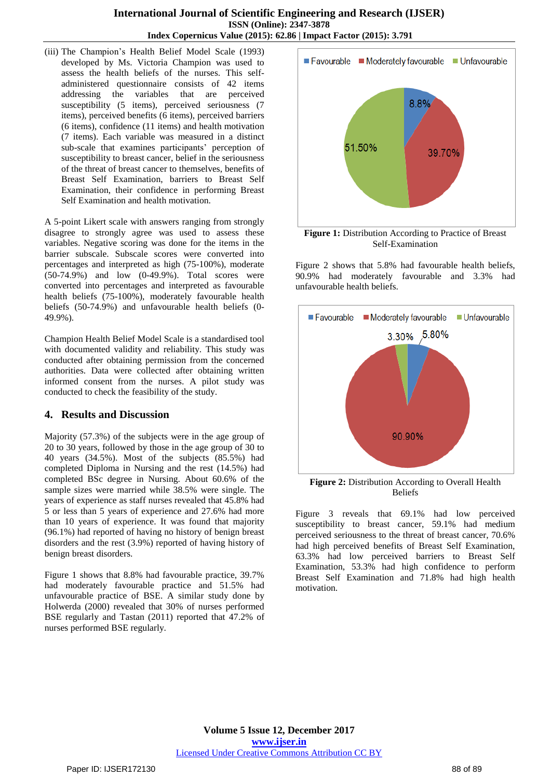(iii) The Champion's Health Belief Model Scale (1993) developed by Ms. Victoria Champion was used to assess the health beliefs of the nurses. This selfadministered questionnaire consists of 42 items addressing the variables that are perceived susceptibility (5 items), perceived seriousness (7 items), perceived benefits (6 items), perceived barriers (6 items), confidence (11 items) and health motivation (7 items). Each variable was measured in a distinct sub-scale that examines participants' perception of susceptibility to breast cancer, belief in the seriousness of the threat of breast cancer to themselves, benefits of Breast Self Examination, barriers to Breast Self Examination, their confidence in performing Breast Self Examination and health motivation.

A 5-point Likert scale with answers ranging from strongly disagree to strongly agree was used to assess these variables. Negative scoring was done for the items in the barrier subscale. Subscale scores were converted into percentages and interpreted as high (75-100%), moderate (50-74.9%) and low (0-49.9%). Total scores were converted into percentages and interpreted as favourable health beliefs (75-100%), moderately favourable health beliefs (50-74.9%) and unfavourable health beliefs (0- 49.9%).

Champion Health Belief Model Scale is a standardised tool with documented validity and reliability. This study was conducted after obtaining permission from the concerned authorities. Data were collected after obtaining written informed consent from the nurses. A pilot study was conducted to check the feasibility of the study.

## **4. Results and Discussion**

Majority (57.3%) of the subjects were in the age group of 20 to 30 years, followed by those in the age group of 30 to 40 years (34.5%). Most of the subjects (85.5%) had completed Diploma in Nursing and the rest (14.5%) had completed BSc degree in Nursing. About 60.6% of the sample sizes were married while 38.5% were single. The years of experience as staff nurses revealed that 45.8% had 5 or less than 5 years of experience and 27.6% had more than 10 years of experience. It was found that majority (96.1%) had reported of having no history of benign breast disorders and the rest (3.9%) reported of having history of benign breast disorders.

Figure 1 shows that 8.8% had favourable practice, 39.7% had moderately favourable practice and 51.5% had unfavourable practice of BSE. A similar study done by Holwerda (2000) revealed that 30% of nurses performed BSE regularly and Tastan (2011) reported that 47.2% of nurses performed BSE regularly.



Self-Examination

Figure 2 shows that 5.8% had favourable health beliefs, 90.9% had moderately favourable and 3.3% had unfavourable health beliefs.



**Figure 2:** Distribution According to Overall Health Beliefs

Figure 3 reveals that 69.1% had low perceived susceptibility to breast cancer, 59.1% had medium perceived seriousness to the threat of breast cancer, 70.6% had high perceived benefits of Breast Self Examination, 63.3% had low perceived barriers to Breast Self Examination, 53.3% had high confidence to perform Breast Self Examination and 71.8% had high health motivation.